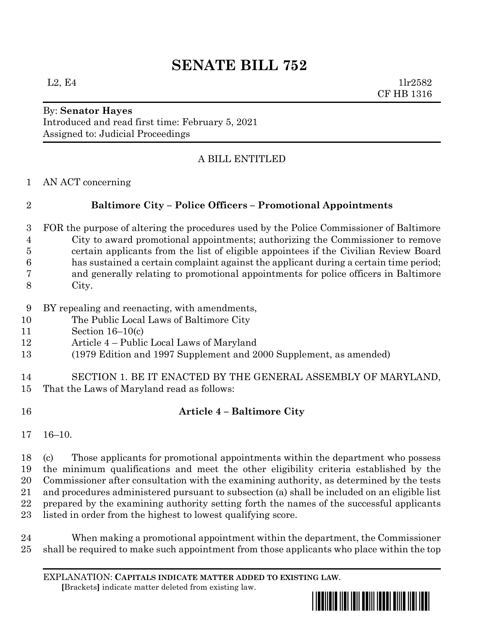# **SENATE BILL 752**

By: **Senator Hayes** Introduced and read first time: February 5, 2021 Assigned to: Judicial Proceedings

### A BILL ENTITLED

AN ACT concerning

## **Baltimore City – Police Officers – Promotional Appointments**

- FOR the purpose of altering the procedures used by the Police Commissioner of Baltimore City to award promotional appointments; authorizing the Commissioner to remove certain applicants from the list of eligible appointees if the Civilian Review Board has sustained a certain complaint against the applicant during a certain time period; and generally relating to promotional appointments for police officers in Baltimore City.
- BY repealing and reenacting, with amendments,
- The Public Local Laws of Baltimore City
- Section 16–10(c)
- Article 4 Public Local Laws of Maryland
- (1979 Edition and 1997 Supplement and 2000 Supplement, as amended)

 SECTION 1. BE IT ENACTED BY THE GENERAL ASSEMBLY OF MARYLAND, That the Laws of Maryland read as follows:

#### **Article 4 – Baltimore City**

16–10.

 (c) Those applicants for promotional appointments within the department who possess the minimum qualifications and meet the other eligibility criteria established by the Commissioner after consultation with the examining authority, as determined by the tests and procedures administered pursuant to subsection (a) shall be included on an eligible list prepared by the examining authority setting forth the names of the successful applicants listed in order from the highest to lowest qualifying score.

 When making a promotional appointment within the department, the Commissioner shall be required to make such appointment from those applicants who place within the top

EXPLANATION: **CAPITALS INDICATE MATTER ADDED TO EXISTING LAW**.  **[**Brackets**]** indicate matter deleted from existing law.

<u>\*sb0752\*sb0752\*sb0752\*sb0752\*sb0</u>7